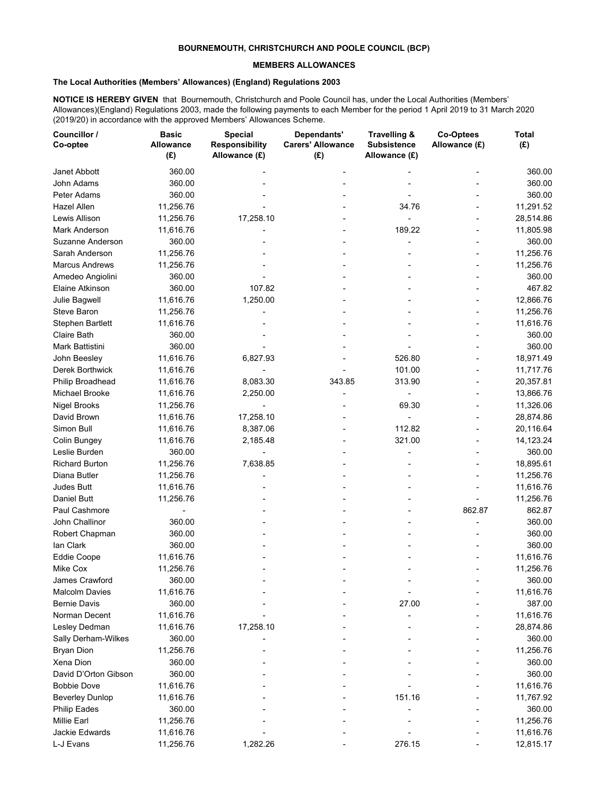## **BOURNEMOUTH, CHRISTCHURCH AND POOLE COUNCIL (BCP)**

## **MEMBERS ALLOWANCES**

## **The Local Authorities (Members' Allowances) (England) Regulations 2003**

**NOTICE IS HEREBY GIVEN** that Bournemouth, Christchurch and Poole Council has, under the Local Authorities (Members' Allowances)(England) Regulations 2003, made the following payments to each Member for the period 1 April 2019 to 31 March 2020 (2019/20) in accordance with the approved Members' Allowances Scheme.

| Councillor /<br>Co-optee | <b>Basic</b><br><b>Allowance</b><br>(E) | <b>Special</b><br><b>Responsibility</b><br>Allowance (£) | Dependants'<br><b>Carers' Allowance</b><br>(E) | Travelling &<br><b>Subsistence</b><br>Allowance (£) | <b>Co-Optees</b><br>Allowance (£) | <b>Total</b><br>(E) |
|--------------------------|-----------------------------------------|----------------------------------------------------------|------------------------------------------------|-----------------------------------------------------|-----------------------------------|---------------------|
| Janet Abbott             | 360.00                                  |                                                          |                                                |                                                     |                                   | 360.00              |
| <b>John Adams</b>        | 360.00                                  |                                                          |                                                |                                                     |                                   | 360.00              |
| Peter Adams              | 360.00                                  |                                                          |                                                |                                                     |                                   | 360.00              |
| <b>Hazel Allen</b>       | 11,256.76                               |                                                          |                                                | 34.76                                               |                                   | 11,291.52           |
| Lewis Allison            | 11,256.76                               | 17,258.10                                                |                                                |                                                     |                                   | 28,514.86           |
| Mark Anderson            | 11,616.76                               |                                                          |                                                | 189.22                                              |                                   | 11,805.98           |
| Suzanne Anderson         | 360.00                                  |                                                          |                                                |                                                     |                                   | 360.00              |
| Sarah Anderson           | 11,256.76                               |                                                          |                                                |                                                     |                                   | 11,256.76           |
| <b>Marcus Andrews</b>    | 11,256.76                               |                                                          |                                                |                                                     |                                   | 11,256.76           |
| Amedeo Angiolini         | 360.00                                  |                                                          |                                                |                                                     |                                   | 360.00              |
| Elaine Atkinson          | 360.00                                  | 107.82                                                   |                                                |                                                     |                                   | 467.82              |
| Julie Bagwell            | 11,616.76                               | 1,250.00                                                 |                                                |                                                     |                                   | 12,866.76           |
|                          |                                         |                                                          |                                                |                                                     |                                   |                     |
| Steve Baron              | 11,256.76                               |                                                          |                                                |                                                     |                                   | 11,256.76           |
| <b>Stephen Bartlett</b>  | 11,616.76                               |                                                          |                                                |                                                     |                                   | 11,616.76           |
| Claire Bath              | 360.00                                  |                                                          |                                                |                                                     |                                   | 360.00              |
| Mark Battistini          | 360.00                                  |                                                          |                                                |                                                     |                                   | 360.00              |
| John Beesley             | 11,616.76                               | 6,827.93                                                 |                                                | 526.80                                              |                                   | 18,971.49           |
| Derek Borthwick          | 11,616.76                               |                                                          |                                                | 101.00                                              |                                   | 11,717.76           |
| Philip Broadhead         | 11,616.76                               | 8,083.30                                                 | 343.85                                         | 313.90                                              |                                   | 20,357.81           |
| Michael Brooke           | 11,616.76                               | 2,250.00                                                 |                                                |                                                     |                                   | 13,866.76           |
| <b>Nigel Brooks</b>      | 11,256.76                               |                                                          |                                                | 69.30                                               |                                   | 11,326.06           |
| David Brown              | 11,616.76                               | 17,258.10                                                |                                                |                                                     |                                   | 28,874.86           |
| Simon Bull               | 11,616.76                               | 8,387.06                                                 |                                                | 112.82                                              |                                   | 20,116.64           |
| Colin Bungey             | 11,616.76                               | 2,185.48                                                 |                                                | 321.00                                              | ٠                                 | 14,123.24           |
| Leslie Burden            | 360.00                                  |                                                          |                                                |                                                     |                                   | 360.00              |
| <b>Richard Burton</b>    | 11,256.76                               | 7,638.85                                                 |                                                |                                                     |                                   | 18,895.61           |
| Diana Butler             | 11,256.76                               |                                                          |                                                |                                                     |                                   | 11,256.76           |
| Judes Butt               | 11,616.76                               |                                                          |                                                |                                                     |                                   | 11,616.76           |
| Daniel Butt              | 11,256.76                               |                                                          |                                                |                                                     |                                   | 11,256.76           |
| Paul Cashmore            |                                         |                                                          |                                                |                                                     | 862.87                            | 862.87              |
| John Challinor           | 360.00                                  |                                                          |                                                |                                                     |                                   | 360.00              |
| Robert Chapman           | 360.00                                  |                                                          |                                                |                                                     |                                   | 360.00              |
| lan Clark                | 360.00                                  |                                                          |                                                |                                                     |                                   | 360.00              |
| Eddie Coope              | 11,616.76                               |                                                          |                                                |                                                     |                                   | 11,616.76           |
| Mike Cox                 | 11,256.76                               |                                                          |                                                |                                                     |                                   | 11,256.76           |
| James Crawford           | 360.00                                  |                                                          |                                                |                                                     |                                   | 360.00              |
| <b>Malcolm Davies</b>    | 11,616.76                               |                                                          |                                                |                                                     |                                   | 11,616.76           |
| <b>Bernie Davis</b>      | 360.00                                  |                                                          |                                                | 27.00                                               |                                   | 387.00              |
| Norman Decent            | 11,616.76                               |                                                          |                                                |                                                     |                                   | 11,616.76           |
| Lesley Dedman            | 11,616.76                               | 17,258.10                                                |                                                |                                                     |                                   | 28,874.86           |
| Sally Derham-Wilkes      | 360.00                                  |                                                          |                                                |                                                     |                                   | 360.00              |
| <b>Bryan Dion</b>        | 11,256.76                               |                                                          |                                                |                                                     |                                   | 11,256.76           |
| Xena Dion                | 360.00                                  |                                                          |                                                |                                                     |                                   | 360.00              |
| David D'Orton Gibson     | 360.00                                  |                                                          |                                                |                                                     |                                   | 360.00              |
| <b>Bobbie Dove</b>       | 11,616.76                               |                                                          |                                                |                                                     |                                   | 11,616.76           |
| <b>Beverley Dunlop</b>   | 11,616.76                               |                                                          |                                                | 151.16                                              |                                   | 11,767.92           |
| <b>Philip Eades</b>      | 360.00                                  |                                                          |                                                |                                                     |                                   | 360.00              |
| Millie Earl              | 11,256.76                               |                                                          |                                                |                                                     |                                   | 11,256.76           |
| Jackie Edwards           | 11,616.76                               |                                                          |                                                |                                                     |                                   | 11,616.76           |
| L-J Evans                | 11,256.76                               | 1,282.26                                                 |                                                | 276.15                                              |                                   | 12,815.17           |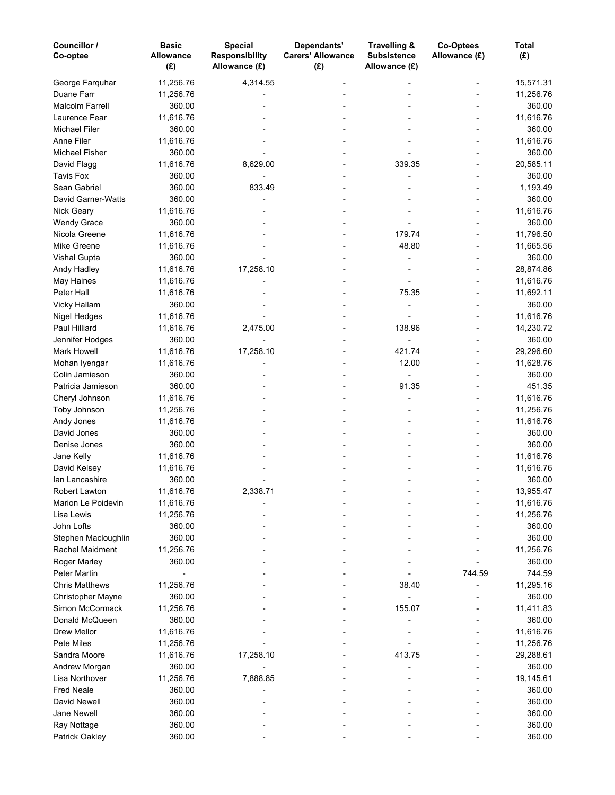| Councillor /<br>Co-optee | <b>Basic</b><br><b>Allowance</b><br>(E) | <b>Special</b><br><b>Responsibility</b><br>Allowance (£) | Dependants'<br><b>Carers' Allowance</b><br>(E) | Travelling &<br><b>Subsistence</b><br>Allowance (£) | Co-Optees<br>Allowance (£) | Total<br>(E) |
|--------------------------|-----------------------------------------|----------------------------------------------------------|------------------------------------------------|-----------------------------------------------------|----------------------------|--------------|
| George Farquhar          | 11,256.76                               | 4,314.55                                                 |                                                |                                                     |                            | 15,571.31    |
| Duane Farr               | 11,256.76                               |                                                          |                                                |                                                     |                            | 11,256.76    |
| <b>Malcolm Farrell</b>   | 360.00                                  |                                                          |                                                |                                                     |                            | 360.00       |
| Laurence Fear            | 11,616.76                               |                                                          |                                                |                                                     |                            | 11,616.76    |
| <b>Michael Filer</b>     | 360.00                                  |                                                          |                                                |                                                     |                            | 360.00       |
| Anne Filer               | 11,616.76                               |                                                          |                                                |                                                     |                            | 11,616.76    |
| <b>Michael Fisher</b>    | 360.00                                  |                                                          |                                                |                                                     |                            | 360.00       |
| David Flagg              | 11,616.76                               | 8,629.00                                                 |                                                | 339.35                                              |                            | 20,585.11    |
| <b>Tavis Fox</b>         | 360.00                                  |                                                          |                                                |                                                     |                            | 360.00       |
| Sean Gabriel             | 360.00                                  | 833.49                                                   |                                                |                                                     |                            | 1,193.49     |
| David Garner-Watts       | 360.00                                  |                                                          |                                                |                                                     |                            | 360.00       |
| Nick Geary               | 11,616.76                               |                                                          |                                                |                                                     |                            | 11,616.76    |
| <b>Wendy Grace</b>       | 360.00                                  |                                                          |                                                |                                                     |                            | 360.00       |
| Nicola Greene            | 11,616.76                               |                                                          |                                                | 179.74                                              |                            | 11,796.50    |
| Mike Greene              | 11,616.76                               |                                                          |                                                | 48.80                                               |                            | 11,665.56    |
| <b>Vishal Gupta</b>      | 360.00                                  |                                                          |                                                |                                                     |                            | 360.00       |
| Andy Hadley              | 11,616.76                               | 17,258.10                                                |                                                |                                                     |                            | 28,874.86    |
| May Haines               | 11,616.76                               |                                                          |                                                |                                                     |                            | 11,616.76    |
| Peter Hall               | 11,616.76                               |                                                          |                                                | 75.35                                               |                            | 11,692.11    |
| Vicky Hallam             | 360.00                                  |                                                          |                                                |                                                     |                            | 360.00       |
| Nigel Hedges             | 11,616.76                               |                                                          |                                                |                                                     |                            | 11,616.76    |
| Paul Hilliard            | 11,616.76                               | 2,475.00                                                 |                                                | 138.96                                              |                            | 14,230.72    |
| Jennifer Hodges          | 360.00                                  |                                                          |                                                |                                                     |                            | 360.00       |
| Mark Howell              | 11,616.76                               | 17,258.10                                                |                                                | 421.74                                              |                            | 29,296.60    |
| Mohan Iyengar            | 11,616.76                               |                                                          |                                                | 12.00                                               |                            | 11,628.76    |
| Colin Jamieson           | 360.00                                  |                                                          |                                                |                                                     |                            | 360.00       |
| Patricia Jamieson        | 360.00                                  |                                                          |                                                | 91.35                                               |                            | 451.35       |
| Cheryl Johnson           | 11,616.76                               |                                                          |                                                |                                                     |                            | 11,616.76    |
|                          | 11,256.76                               |                                                          |                                                |                                                     |                            | 11,256.76    |
| Toby Johnson             | 11,616.76                               |                                                          |                                                |                                                     |                            | 11,616.76    |
| Andy Jones               |                                         |                                                          |                                                |                                                     |                            |              |
| David Jones              | 360.00                                  |                                                          |                                                |                                                     |                            | 360.00       |
| Denise Jones             | 360.00                                  |                                                          |                                                |                                                     |                            | 360.00       |
| Jane Kelly               | 11,616.76                               |                                                          |                                                |                                                     |                            | 11,616.76    |
| David Kelsey             | 11,616.76                               |                                                          |                                                |                                                     |                            | 11,616.76    |
| Ian Lancashire           | 360.00                                  |                                                          |                                                |                                                     |                            | 360.00       |
| Robert Lawton            | 11,616.76                               | 2,338.71                                                 |                                                |                                                     |                            | 13,955.47    |
| Marion Le Poidevin       | 11,616.76                               |                                                          |                                                |                                                     |                            | 11,616.76    |
| Lisa Lewis               | 11,256.76                               |                                                          |                                                |                                                     |                            | 11,256.76    |
| John Lofts               | 360.00                                  |                                                          |                                                |                                                     |                            | 360.00       |
| Stephen Macloughlin      | 360.00                                  |                                                          |                                                |                                                     |                            | 360.00       |
| Rachel Maidment          | 11,256.76                               |                                                          |                                                |                                                     |                            | 11,256.76    |
| Roger Marley             | 360.00                                  |                                                          |                                                |                                                     |                            | 360.00       |
| <b>Peter Martin</b>      |                                         |                                                          |                                                |                                                     | 744.59                     | 744.59       |
| <b>Chris Matthews</b>    | 11,256.76                               |                                                          |                                                | 38.40                                               |                            | 11,295.16    |
| Christopher Mayne        | 360.00                                  |                                                          |                                                |                                                     |                            | 360.00       |
| Simon McCormack          | 11,256.76                               |                                                          |                                                | 155.07                                              |                            | 11,411.83    |
| Donald McQueen           | 360.00                                  |                                                          |                                                |                                                     |                            | 360.00       |
| Drew Mellor              | 11,616.76                               |                                                          |                                                |                                                     |                            | 11,616.76    |
| Pete Miles               | 11,256.76                               |                                                          |                                                |                                                     |                            | 11,256.76    |
| Sandra Moore             | 11,616.76                               | 17,258.10                                                |                                                | 413.75                                              |                            | 29,288.61    |
| Andrew Morgan            | 360.00                                  |                                                          |                                                |                                                     |                            | 360.00       |
| Lisa Northover           | 11,256.76                               | 7,888.85                                                 |                                                |                                                     |                            | 19,145.61    |
| <b>Fred Neale</b>        | 360.00                                  |                                                          |                                                |                                                     |                            | 360.00       |
| David Newell             | 360.00                                  |                                                          |                                                |                                                     |                            | 360.00       |
| <b>Jane Newell</b>       | 360.00                                  |                                                          |                                                |                                                     |                            | 360.00       |
| Ray Nottage              | 360.00                                  |                                                          |                                                |                                                     |                            | 360.00       |
| Patrick Oakley           | 360.00                                  |                                                          |                                                |                                                     |                            | 360.00       |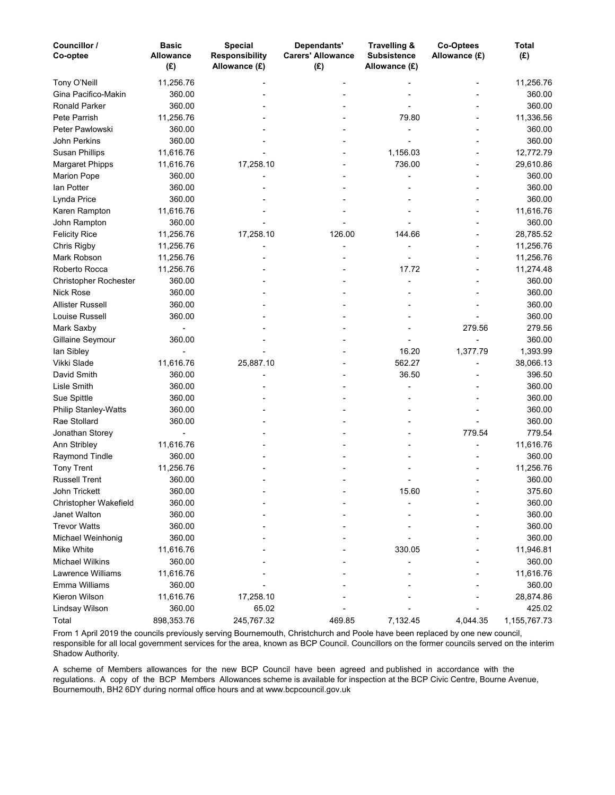| Councillor /<br>Co-optee    | <b>Basic</b><br><b>Allowance</b><br>(E) | <b>Special</b><br><b>Responsibility</b><br>Allowance (£) | Dependants'<br><b>Carers' Allowance</b><br>(E) | Travelling &<br><b>Subsistence</b><br>Allowance (£) | Co-Optees<br>Allowance (£) | Total<br>(E) |
|-----------------------------|-----------------------------------------|----------------------------------------------------------|------------------------------------------------|-----------------------------------------------------|----------------------------|--------------|
| Tony O'Neill                | 11,256.76                               |                                                          |                                                |                                                     |                            | 11,256.76    |
| Gina Pacifico-Makin         | 360.00                                  |                                                          |                                                |                                                     |                            | 360.00       |
| Ronald Parker               | 360.00                                  |                                                          |                                                |                                                     |                            | 360.00       |
| Pete Parrish                | 11,256.76                               |                                                          |                                                | 79.80                                               |                            | 11,336.56    |
| Peter Pawlowski             | 360.00                                  |                                                          |                                                |                                                     |                            | 360.00       |
| John Perkins                | 360.00                                  |                                                          |                                                |                                                     |                            | 360.00       |
| <b>Susan Phillips</b>       | 11,616.76                               |                                                          |                                                | 1,156.03                                            |                            | 12,772.79    |
| <b>Margaret Phipps</b>      | 11,616.76                               | 17,258.10                                                |                                                | 736.00                                              |                            | 29,610.86    |
| <b>Marion Pope</b>          | 360.00                                  |                                                          |                                                |                                                     |                            | 360.00       |
| lan Potter                  | 360.00                                  |                                                          |                                                |                                                     |                            | 360.00       |
| Lynda Price                 | 360.00                                  |                                                          |                                                |                                                     |                            | 360.00       |
| Karen Rampton               | 11,616.76                               |                                                          |                                                |                                                     |                            | 11,616.76    |
| John Rampton                | 360.00                                  |                                                          |                                                |                                                     |                            | 360.00       |
| <b>Felicity Rice</b>        | 11,256.76                               | 17,258.10                                                | 126.00                                         | 144.66                                              |                            | 28,785.52    |
| Chris Rigby                 | 11,256.76                               |                                                          |                                                |                                                     |                            | 11,256.76    |
| Mark Robson                 | 11,256.76                               |                                                          |                                                |                                                     |                            | 11,256.76    |
| Roberto Rocca               | 11,256.76                               |                                                          |                                                | 17.72                                               |                            | 11,274.48    |
| Christopher Rochester       | 360.00                                  |                                                          |                                                |                                                     |                            | 360.00       |
| Nick Rose                   | 360.00                                  |                                                          |                                                |                                                     |                            | 360.00       |
| Allister Russell            | 360.00                                  |                                                          |                                                |                                                     |                            | 360.00       |
| Louise Russell              | 360.00                                  |                                                          |                                                |                                                     |                            | 360.00       |
| Mark Saxby                  |                                         |                                                          |                                                |                                                     | 279.56                     | 279.56       |
| Gillaine Seymour            | 360.00                                  |                                                          |                                                |                                                     |                            | 360.00       |
| lan Sibley                  |                                         |                                                          |                                                | 16.20                                               | 1,377.79                   | 1,393.99     |
| Vikki Slade                 | 11,616.76                               | 25,887.10                                                |                                                | 562.27                                              |                            | 38,066.13    |
| David Smith                 | 360.00                                  |                                                          |                                                | 36.50                                               |                            | 396.50       |
| Lisle Smith                 | 360.00                                  |                                                          |                                                |                                                     |                            | 360.00       |
| Sue Spittle                 | 360.00                                  |                                                          |                                                |                                                     |                            | 360.00       |
| <b>Philip Stanley-Watts</b> | 360.00                                  |                                                          |                                                |                                                     |                            | 360.00       |
| Rae Stollard                | 360.00                                  |                                                          |                                                |                                                     |                            | 360.00       |
| Jonathan Storey             |                                         |                                                          |                                                |                                                     | 779.54                     | 779.54       |
| Ann Stribley                | 11,616.76                               |                                                          |                                                |                                                     |                            | 11,616.76    |
| Raymond Tindle              | 360.00                                  |                                                          |                                                |                                                     |                            | 360.00       |
| <b>Tony Trent</b>           | 11,256.76                               |                                                          |                                                |                                                     |                            | 11,256.76    |
| <b>Russell Trent</b>        | 360.00                                  |                                                          |                                                |                                                     |                            | 360.00       |
| John Trickett               | 360.00                                  |                                                          |                                                | 15.60                                               |                            | 375.60       |
| Christopher Wakefield       | 360.00                                  |                                                          |                                                |                                                     |                            | 360.00       |
| Janet Walton                | 360.00                                  |                                                          |                                                |                                                     |                            | 360.00       |
| <b>Trevor Watts</b>         | 360.00                                  |                                                          |                                                |                                                     |                            | 360.00       |
| Michael Weinhonig           | 360.00                                  |                                                          |                                                |                                                     |                            | 360.00       |
| Mike White                  | 11,616.76                               |                                                          |                                                | 330.05                                              |                            | 11,946.81    |
| <b>Michael Wilkins</b>      | 360.00                                  |                                                          |                                                |                                                     |                            | 360.00       |
| Lawrence Williams           | 11,616.76                               |                                                          |                                                |                                                     |                            | 11,616.76    |
| Emma Williams               | 360.00                                  |                                                          |                                                |                                                     |                            | 360.00       |
| Kieron Wilson               | 11,616.76                               | 17,258.10                                                |                                                |                                                     |                            | 28,874.86    |
| Lindsay Wilson              | 360.00                                  | 65.02                                                    |                                                |                                                     |                            | 425.02       |
| Total                       | 898,353.76                              | 245,767.32                                               | 469.85                                         | 7,132.45                                            | 4,044.35                   | 1,155,767.73 |

From 1 April 2019 the councils previously serving Bournemouth, Christchurch and Poole have been replaced by one new council, responsible for all local government services for the area, known as BCP Council. Councillors on the former councils served on the interim Shadow Authority.

A scheme of Members allowances for the new BCP Council have been agreed and published in accordance with the regulations. A copy of the BCP Members Allowances scheme is available for inspection at the BCP Civic Centre, Bourne Avenue, Bournemouth, BH2 6DY during normal office hours and at www.bcpcouncil.gov.uk